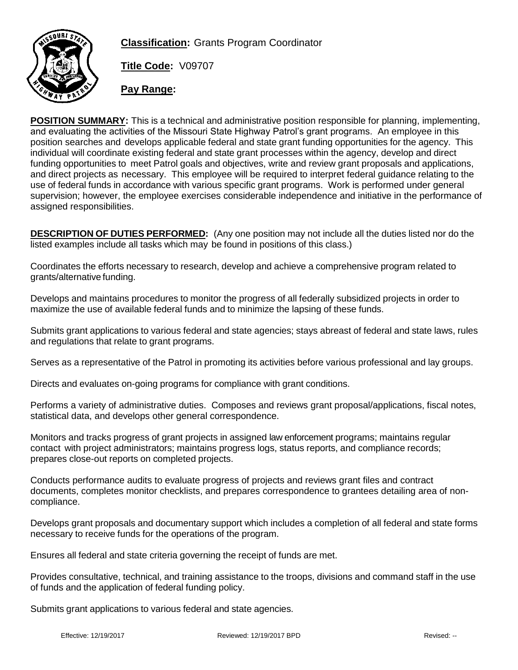

**Classification:** Grants Program Coordinator

**Title Code:** V09707

**Pay Range:**

**POSITION SUMMARY:** This is a technical and administrative position responsible for planning, implementing, and evaluating the activities of the Missouri State Highway Patrol's grant programs. An employee in this position searches and develops applicable federal and state grant funding opportunities for the agency. This individual will coordinate existing federal and state grant processes within the agency, develop and direct funding opportunities to meet Patrol goals and objectives, write and review grant proposals and applications, and direct projects as necessary. This employee will be required to interpret federal guidance relating to the use of federal funds in accordance with various specific grant programs. Work is performed under general supervision; however, the employee exercises considerable independence and initiative in the performance of assigned responsibilities.

**DESCRIPTION OF DUTIES PERFORMED:** (Any one position may not include all the duties listed nor do the listed examples include all tasks which may be found in positions of this class.)

Coordinates the efforts necessary to research, develop and achieve a comprehensive program related to grants/alternative funding.

Develops and maintains procedures to monitor the progress of all federally subsidized projects in order to maximize the use of available federal funds and to minimize the lapsing of these funds.

Submits grant applications to various federal and state agencies; stays abreast of federal and state laws, rules and regulations that relate to grant programs.

Serves as a representative of the Patrol in promoting its activities before various professional and lay groups.

Directs and evaluates on-going programs for compliance with grant conditions.

Performs a variety of administrative duties. Composes and reviews grant proposal/applications, fiscal notes, statistical data, and develops other general correspondence.

Monitors and tracks progress of grant projects in assigned law enforcement programs; maintains regular contact with project administrators; maintains progress logs, status reports, and compliance records; prepares close-out reports on completed projects.

Conducts performance audits to evaluate progress of projects and reviews grant files and contract documents, completes monitor checklists, and prepares correspondence to grantees detailing area of noncompliance.

Develops grant proposals and documentary support which includes a completion of all federal and state forms necessary to receive funds for the operations of the program.

Ensures all federal and state criteria governing the receipt of funds are met.

Provides consultative, technical, and training assistance to the troops, divisions and command staff in the use of funds and the application of federal funding policy.

Submits grant applications to various federal and state agencies.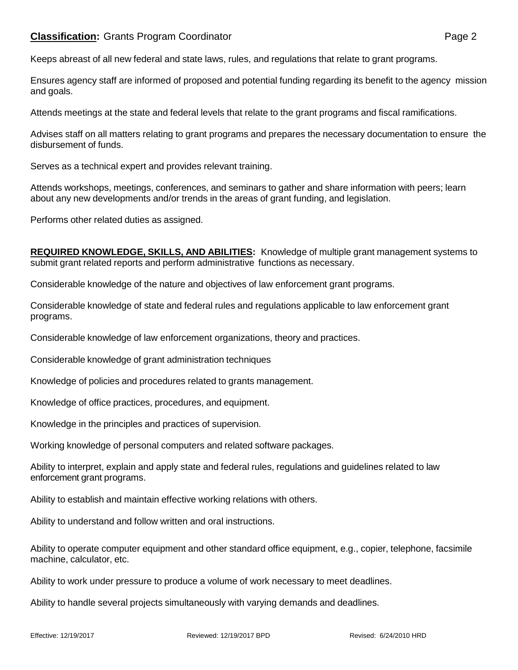Keeps abreast of all new federal and state laws, rules, and regulations that relate to grant programs.

Ensures agency staff are informed of proposed and potential funding regarding its benefit to the agency mission and goals.

Attends meetings at the state and federal levels that relate to the grant programs and fiscal ramifications.

Advises staff on all matters relating to grant programs and prepares the necessary documentation to ensure the disbursement of funds.

Serves as a technical expert and provides relevant training.

Attends workshops, meetings, conferences, and seminars to gather and share information with peers; learn about any new developments and/or trends in the areas of grant funding, and legislation.

Performs other related duties as assigned.

**REQUIRED KNOWLEDGE, SKILLS, AND ABILITIES:** Knowledge of multiple grant management systems to submit grant related reports and perform administrative functions as necessary.

Considerable knowledge of the nature and objectives of law enforcement grant programs.

Considerable knowledge of state and federal rules and regulations applicable to law enforcement grant programs.

Considerable knowledge of law enforcement organizations, theory and practices.

Considerable knowledge of grant administration techniques

Knowledge of policies and procedures related to grants management.

Knowledge of office practices, procedures, and equipment.

Knowledge in the principles and practices of supervision.

Working knowledge of personal computers and related software packages.

Ability to interpret, explain and apply state and federal rules, regulations and guidelines related to law enforcement grant programs.

Ability to establish and maintain effective working relations with others.

Ability to understand and follow written and oral instructions.

Ability to operate computer equipment and other standard office equipment, e.g., copier, telephone, facsimile machine, calculator, etc.

Ability to work under pressure to produce a volume of work necessary to meet deadlines.

Ability to handle several projects simultaneously with varying demands and deadlines.